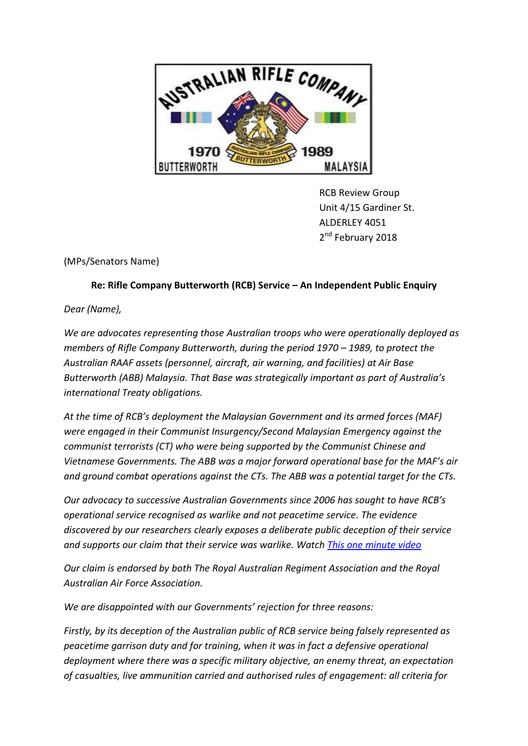

RCB Review Group Unit 4/15 Gardiner St. ALDERLEY 4051 2<sup>nd</sup> February 2018

(MPs/Senators Name)

## **Re: Rifle Company Butterworth (RCB) Service – An Independent Public Enquiry**

*Dear (Name),*

*We are advocates representing those Australian troops who were operationally deployed as members of Rifle Company Butterworth, during the period 1970 – 1989, to protect the Australian RAAF assets (personnel, aircraft, air warning, and facilities) at Air Base Butterworth (ABB) Malaysia. That Base was strategically important as part of Australia's international Treaty obligations.* 

*At the time of RCB's deployment the Malaysian Government and its armed forces (MAF) were engaged in their Communist Insurgency/Second Malaysian Emergency against the communist terrorists (CT) who were being supported by the Communist Chinese and Vietnamese Governments. The ABB was a major forward operational base for the MAF's air and ground combat operations against the CTs. The ABB was a potential target for the CTs.*

*Our advocacy to successive Australian Governments since 2006 has sought to have RCB's operational service recognised as warlike and not peacetime service. The evidence discovered by our researchers clearly exposes a deliberate public deception of their service and supports our claim that their service was warlike. Watch [This one minute video](https://www.youtube.com/watch?v=DULsdjUix3E&feature=youtu.be)* 

*Our claim is endorsed by both The Royal Australian Regiment Association and the Royal Australian Air Force Association.*

*We are disappointed with our Governments' rejection for three reasons:* 

*Firstly, by its deception of the Australian public of RCB service being falsely represented as peacetime garrison duty and for training, when it was in fact a defensive operational deployment where there was a specific military objective, an enemy threat, an expectation of casualties, live ammunition carried and authorised rules of engagement: all criteria for*